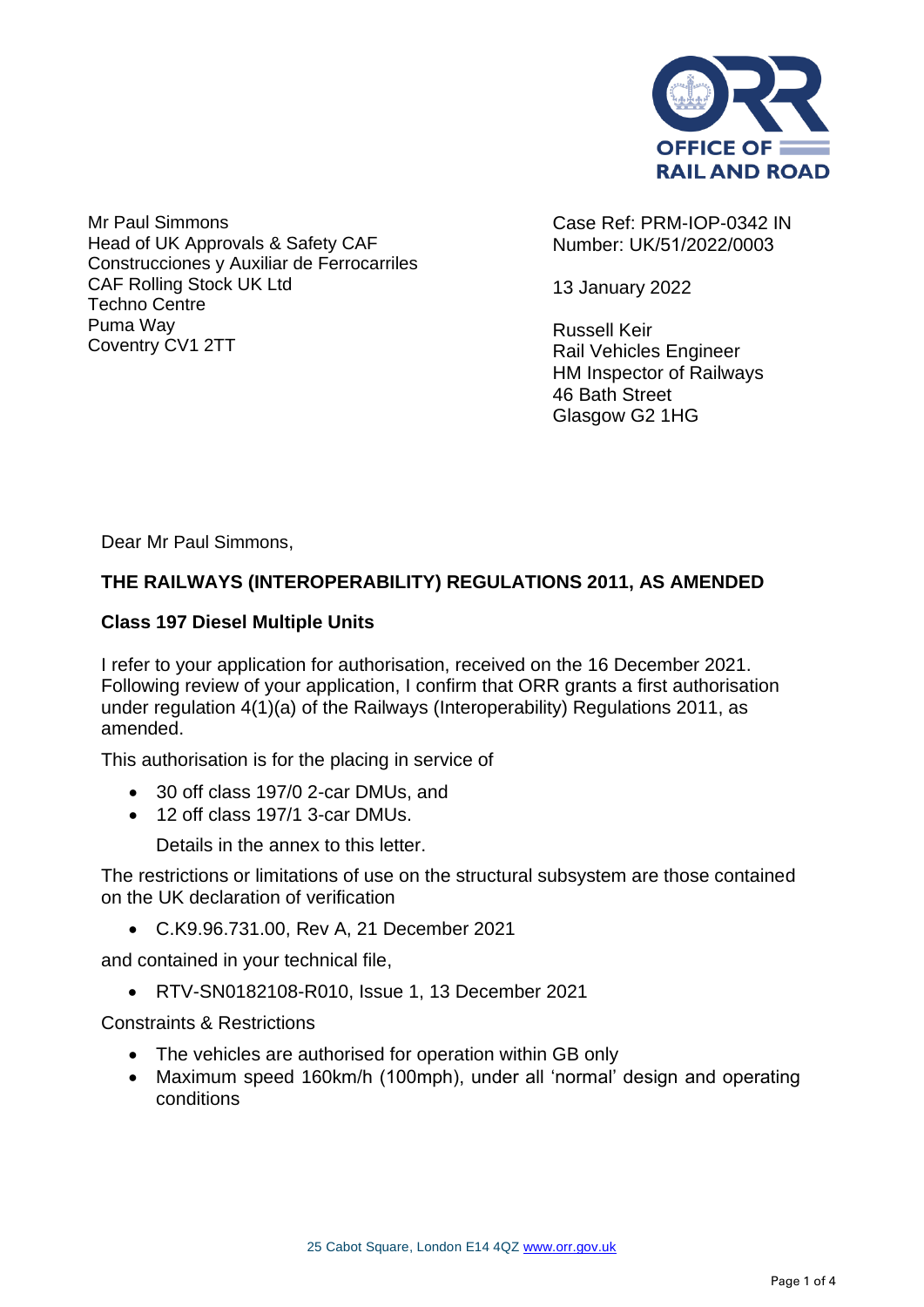

Mr Paul Simmons Head of UK Approvals & Safety CAF Construcciones y Auxiliar de Ferrocarriles CAF Rolling Stock UK Ltd Techno Centre Puma Way Coventry CV1 2TT

Case Ref: PRM-IOP-0342 IN Number: UK/51/2022/0003

13 January 2022

Russell Keir Rail Vehicles Engineer HM Inspector of Railways 46 Bath Street Glasgow G2 1HG

Dear Mr Paul Simmons,

## **THE RAILWAYS (INTEROPERABILITY) REGULATIONS 2011, AS AMENDED**

## **Class 197 Diesel Multiple Units**

I refer to your application for authorisation, received on the 16 December 2021. Following review of your application, I confirm that ORR grants a first authorisation under regulation 4(1)(a) of the Railways (Interoperability) Regulations 2011, as amended.

This authorisation is for the placing in service of

- 30 off class 197/0 2-car DMUs, and
- 12 off class 197/1 3-car DMUs.

Details in the annex to this letter.

The restrictions or limitations of use on the structural subsystem are those contained on the UK declaration of verification

• C.K9.96.731.00, Rev A, 21 December 2021

and contained in your technical file,

• RTV-SN0182108-R010, Issue 1, 13 December 2021

Constraints & Restrictions

- The vehicles are authorised for operation within GB only
- Maximum speed 160km/h (100mph), under all 'normal' design and operating conditions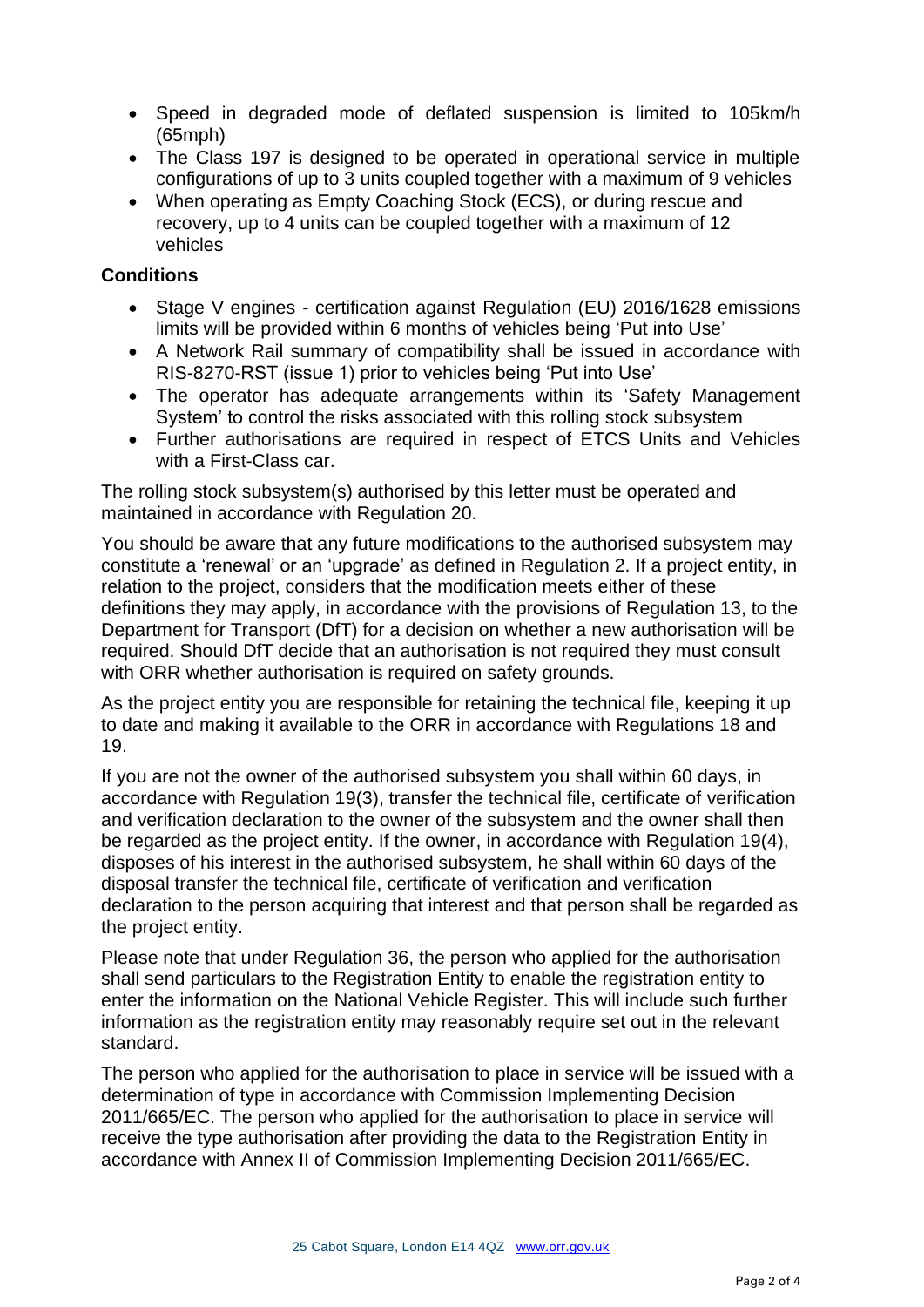- Speed in degraded mode of deflated suspension is limited to 105km/h (65mph)
- The Class 197 is designed to be operated in operational service in multiple configurations of up to 3 units coupled together with a maximum of 9 vehicles
- When operating as Empty Coaching Stock (ECS), or during rescue and recovery, up to 4 units can be coupled together with a maximum of 12 vehicles

## **Conditions**

- Stage V engines certification against Regulation (EU) 2016/1628 emissions limits will be provided within 6 months of vehicles being 'Put into Use'
- A Network Rail summary of compatibility shall be issued in accordance with RIS-8270-RST (issue 1) prior to vehicles being 'Put into Use'
- The operator has adequate arrangements within its 'Safety Management System' to control the risks associated with this rolling stock subsystem
- Further authorisations are required in respect of ETCS Units and Vehicles with a First-Class car.

The rolling stock subsystem(s) authorised by this letter must be operated and maintained in accordance with Regulation 20.

You should be aware that any future modifications to the authorised subsystem may constitute a 'renewal' or an 'upgrade' as defined in Regulation 2. If a project entity, in relation to the project, considers that the modification meets either of these definitions they may apply, in accordance with the provisions of Regulation 13, to the Department for Transport (DfT) for a decision on whether a new authorisation will be required. Should DfT decide that an authorisation is not required they must consult with ORR whether authorisation is required on safety grounds.

As the project entity you are responsible for retaining the technical file, keeping it up to date and making it available to the ORR in accordance with Regulations 18 and 19.

If you are not the owner of the authorised subsystem you shall within 60 days, in accordance with Regulation 19(3), transfer the technical file, certificate of verification and verification declaration to the owner of the subsystem and the owner shall then be regarded as the project entity. If the owner, in accordance with Regulation 19(4), disposes of his interest in the authorised subsystem, he shall within 60 days of the disposal transfer the technical file, certificate of verification and verification declaration to the person acquiring that interest and that person shall be regarded as the project entity.

Please note that under Regulation 36, the person who applied for the authorisation shall send particulars to the Registration Entity to enable the registration entity to enter the information on the National Vehicle Register. This will include such further information as the registration entity may reasonably require set out in the relevant standard.

The person who applied for the authorisation to place in service will be issued with a determination of type in accordance with Commission Implementing Decision 2011/665/EC. The person who applied for the authorisation to place in service will receive the type authorisation after providing the data to the Registration Entity in accordance with Annex II of Commission Implementing Decision 2011/665/EC.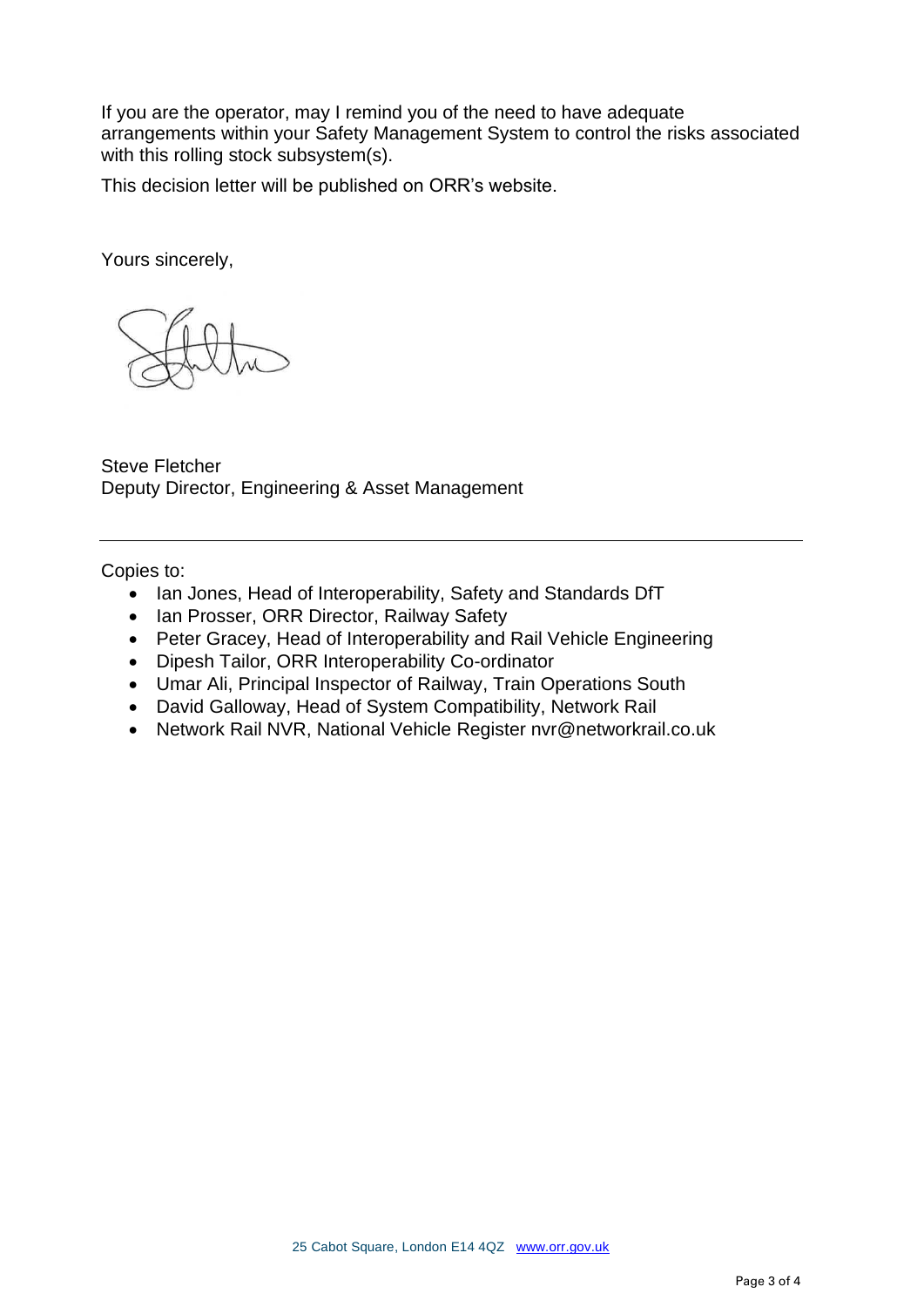If you are the operator, may I remind you of the need to have adequate arrangements within your Safety Management System to control the risks associated with this rolling stock subsystem(s).

This decision letter will be published on ORR's website.

Yours sincerely,

Steve Fletcher Deputy Director, Engineering & Asset Management

Copies to:

- Ian Jones, Head of Interoperability, Safety and Standards DfT
- Ian Prosser, ORR Director, Railway Safety
- Peter Gracey, Head of Interoperability and Rail Vehicle Engineering
- Dipesh Tailor, ORR Interoperability Co-ordinator
- Umar Ali, Principal Inspector of Railway, Train Operations South
- David Galloway, Head of System Compatibility, Network Rail
- Network Rail NVR, National Vehicle Register nvr@networkrail.co.uk